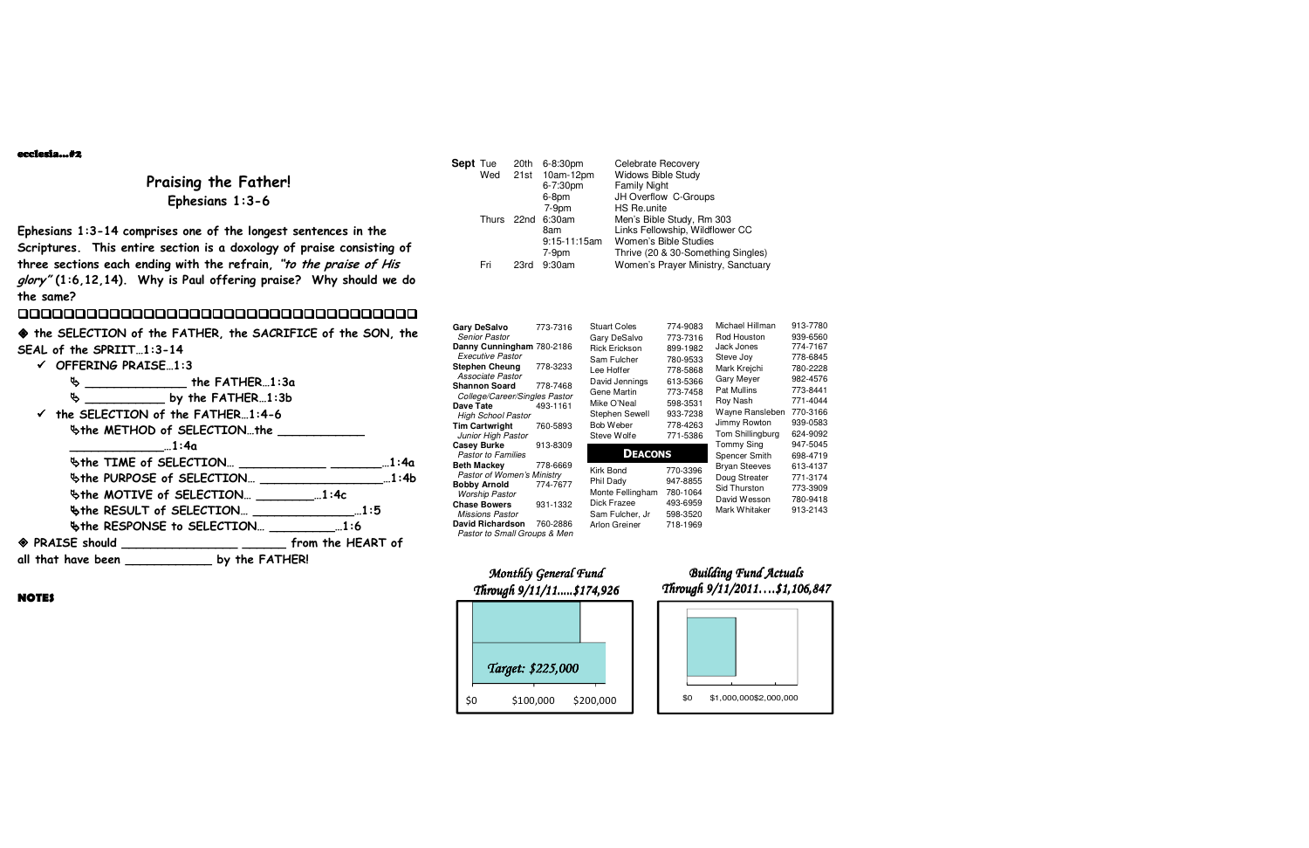

#### ecclesia…#2

## **Praising the Father! Ephesians 1:3-6**

**Ephesians 1:3-14 comprises one of the longest sentences in the Scriptures. This entire section is a doxology of praise consisting of three sections each ending with the refrain, "to the praise of His glory" (1:6,12,14). Why is Paul offering praise? Why should we do the same?** 

## 0000000000000000000000000000000000000

  **the SELECTION of the FATHER, the SACRIFICE of the SON, the SEAL of the SPRIIT…1:3-14** 

| $\checkmark$ OFFERING PRAISE1:3 |                                                               |  |
|---------------------------------|---------------------------------------------------------------|--|
| Ф                               | _____________________ the FATHER1:3a                          |  |
|                                 |                                                               |  |
|                                 | $\checkmark$ the SELECTION of the FATHER1:4-6                 |  |
|                                 | \$the METHOD of SELECTIONthe ___________                      |  |
| $\dots$ 1:4a                    |                                                               |  |
|                                 | \$the TIME of SELECTION __________________________1:4a        |  |
|                                 | $\forall$ the PURPOSE of SELECTION $1:4b$                     |  |
|                                 | $\forall$ the MOTIVE of SELECTION $\qquad \qquad  1:4c$       |  |
|                                 |                                                               |  |
|                                 | <b>Whe RESPONSE to SELECTION</b> 2:6                          |  |
|                                 | ◆ PRAISE should ___________________ _______ from the HEART of |  |
|                                 | all that have been ________________ by the FATHER!            |  |
|                                 |                                                               |  |



## **Building Fund Actuals** *Through 9/11/2011….\$1,106,847*

**NOTES** 

| Sept Tue |       | 20th | 6-8:30pm       | Celebrate Recovery                 |
|----------|-------|------|----------------|------------------------------------|
|          | Wed   |      | 21st 10am-12pm | <b>Widows Bible Study</b>          |
|          |       |      | 6-7:30pm       | <b>Family Night</b>                |
|          |       |      | 6-8pm          | JH Overflow C-Groups               |
|          |       |      | $7-9pm$        | HS Re.unite                        |
|          | Thurs | 22nd | 6:30am         | Men's Bible Study, Rm 303          |
|          |       |      | 8am            | Links Fellowship, Wildflower CC    |
|          |       |      | 9:15-11:15am   | Women's Bible Studies              |
|          |       |      | $7-9pm$        | Thrive (20 & 30-Something Singles) |
|          | Fri   | 23rd | 9:30am         | Women's Prayer Ministry, Sanctuary |
|          |       |      |                |                                    |

| <b>Gary DeSalvo</b><br><b>Senior Pastor</b><br>Danny Cunningham 780-2186<br><b>Executive Pastor</b><br><b>Stephen Cheung</b><br>Associate Pastor<br><b>Shannon Soard</b><br>College/Career/Singles Pastor<br>Dave Tate | 773-7316<br>778-3233<br>778-7468<br>493-1161 | <b>Stuart Coles</b><br>Gary DeSalvo<br><b>Rick Erickson</b><br>Sam Fulcher<br>Lee Hoffer<br>David Jennings<br>Gene Martin<br>Mike O'Neal<br>Stephen Sewell | 774-9083<br>773-7316<br>899-1982<br>780-9533<br>778-5868<br>613-5366<br>773-7458<br>598-3531<br>933-7238 | Michael Hillman<br>Rod Houston<br>Jack Jones<br>Steve Joy<br>Mark Kreichi<br>Gary Meyer<br><b>Pat Mullins</b><br>Roy Nash<br>Wayne Ransleben | 913-7780<br>939-6560<br>774-7167<br>778-6845<br>780-2228<br>982-4576<br>773-8441<br>771-4044<br>770-3166 |
|------------------------------------------------------------------------------------------------------------------------------------------------------------------------------------------------------------------------|----------------------------------------------|------------------------------------------------------------------------------------------------------------------------------------------------------------|----------------------------------------------------------------------------------------------------------|----------------------------------------------------------------------------------------------------------------------------------------------|----------------------------------------------------------------------------------------------------------|
| <b>High School Pastor</b>                                                                                                                                                                                              |                                              |                                                                                                                                                            |                                                                                                          | Jimmy Rowton                                                                                                                                 | 939-0583                                                                                                 |
| <b>Tim Cartwright</b><br>Junior High Pastor                                                                                                                                                                            | 760-5893                                     | Bob Weber<br>Steve Wolfe                                                                                                                                   | 778-4263<br>771-5386                                                                                     | Tom Shillingburg                                                                                                                             | 624-9092                                                                                                 |
| <b>Casey Burke</b><br>913-8309<br><b>Pastor to Families</b>                                                                                                                                                            |                                              | <b>DEACONS</b>                                                                                                                                             |                                                                                                          | Tommy Sing<br>Spencer Smith                                                                                                                  | 947-5045<br>698-4719                                                                                     |
| <b>Beth Mackey</b><br><b>Pastor of Women's Ministry</b><br><b>Bobby Arnold</b><br>Worship Pastor<br><b>Chase Bowers</b><br><b>Missions Pastor</b><br><b>David Richardson</b><br>Pastor to Small Groups & Men           | 778-6669<br>774-7677<br>931-1332<br>760-2886 | Kirk Bond<br>Phil Dady<br>Monte Fellingham<br>Dick Frazee<br>Sam Fulcher, Jr<br>Arlon Greiner                                                              | 770-3396<br>947-8855<br>780-1064<br>493-6959<br>598-3520<br>718-1969                                     | <b>Bryan Steeves</b><br>Doug Streater<br>Sid Thurston<br>David Wesson<br>Mark Whitaker                                                       | 613-4137<br>771-3174<br>773-3909<br>780-9418<br>913-2143                                                 |